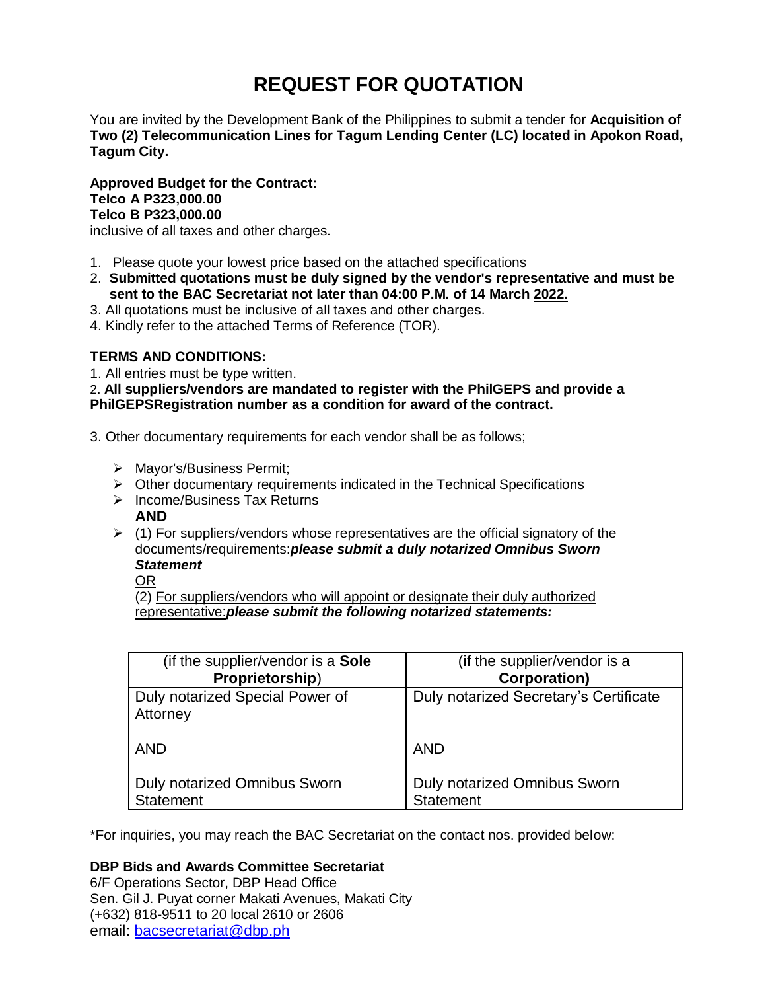# **REQUEST FOR QUOTATION**

You are invited by the Development Bank of the Philippines to submit a tender for **Acquisition of Two (2) Telecommunication Lines for Tagum Lending Center (LC) located in Apokon Road, Tagum City.**

**Approved Budget for the Contract: Telco A P323,000.00 Telco B P323,000.00** inclusive of all taxes and other charges.

- 1. Please quote your lowest price based on the attached specifications
- 2. **Submitted quotations must be duly signed by the vendor's representative and must be sent to the BAC Secretariat not later than 04:00 P.M. of 14 March 2022.**
- 3. All quotations must be inclusive of all taxes and other charges.
- 4. Kindly refer to the attached Terms of Reference (TOR).

# **TERMS AND CONDITIONS:**

1. All entries must be type written.

2**. All suppliers/vendors are mandated to register with the PhilGEPS and provide a PhilGEPSRegistration number as a condition for award of the contract.**

- 3. Other documentary requirements for each vendor shall be as follows;
	- > Mayor's/Business Permit;
	- $\triangleright$  Other documentary requirements indicated in the Technical Specifications
	- $\triangleright$  Income/Business Tax Returns **AND**
	- $(1)$  For suppliers/vendors whose representatives are the official signatory of the documents/requirements:*please submit a duly notarized Omnibus Sworn Statement*

OR

(2) For suppliers/vendors who will appoint or designate their duly authorized representative:*please submit the following notarized statements:*

| (if the supplier/vendor is a Sole                | (if the supplier/vendor is a                            |
|--------------------------------------------------|---------------------------------------------------------|
| Proprietorship)                                  | <b>Corporation)</b>                                     |
| Duly notarized Special Power of<br>Attorney      | Duly notarized Secretary's Certificate                  |
| <b>AND</b>                                       | <b>AND</b>                                              |
| <b>Duly notarized Omnibus Sworn</b><br>Statement | <b>Duly notarized Omnibus Sworn</b><br><b>Statement</b> |

\*For inquiries, you may reach the BAC Secretariat on the contact nos. provided below:

# **DBP Bids and Awards Committee Secretariat**

6/F Operations Sector, DBP Head Office Sen. Gil J. Puyat corner Makati Avenues, Makati City (+632) 818-9511 to 20 local 2610 or 2606 email: [bacsecretariat@dbp.ph](mailto:bacsecretariat@dbp.ph)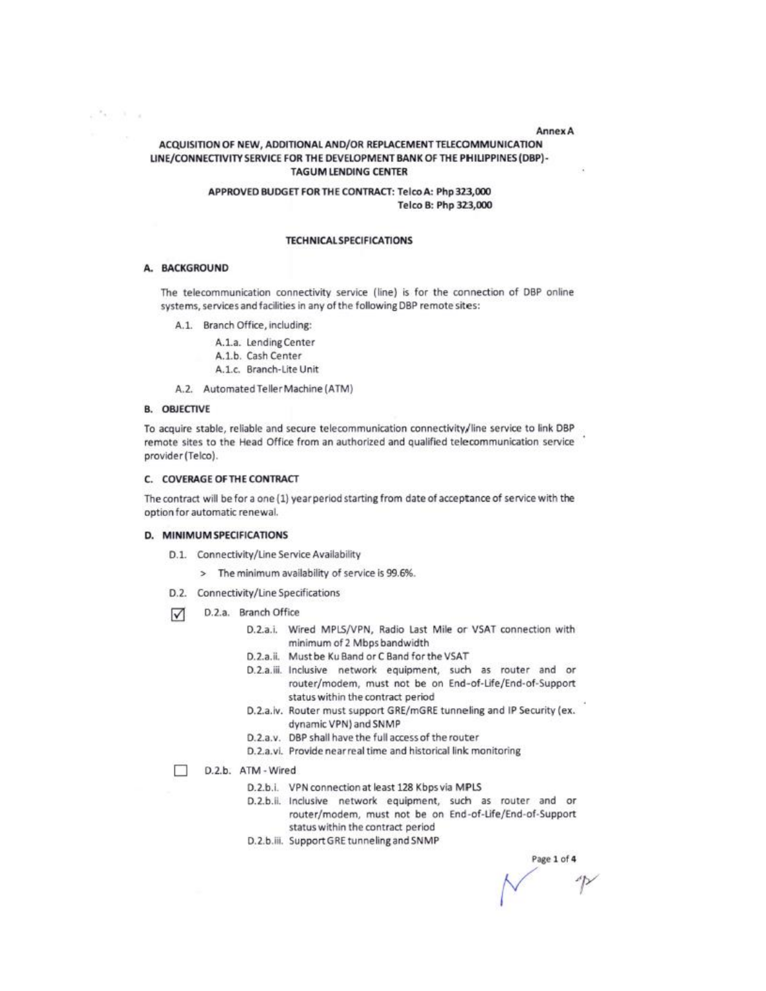**Annex A** 

## ACQUISITION OF NEW, ADDITIONAL AND/OR REPLACEMENT TELECOMMUNICATION LINE/CONNECTIVITY SERVICE FOR THE DEVELOPMENT BANK OF THE PHILIPPINES (DBP)-**TAGUM LENDING CENTER**

### APPROVED BUDGET FOR THE CONTRACT: Telco A: Php 323,000 Telco B: Php 323,000

#### **TECHNICAL SPECIFICATIONS**

#### A. BACKGROUND

allen it is

The telecommunication connectivity service (line) is for the connection of DBP online systems, services and facilities in any of the following DBP remote sites:

A.1. Branch Office, including:

A.1.a. Lending Center A.1.b. Cash Center A.1.c. Branch-Lite Unit

A.2. Automated Teller Machine (ATM)

#### **B. OBJECTIVE**

To acquire stable, reliable and secure telecommunication connectivity/line service to link DBP remote sites to the Head Office from an authorized and qualified telecommunication service provider (Telco).

#### C. COVERAGE OF THE CONTRACT

The contract will be for a one (1) year period starting from date of acceptance of service with the option for automatic renewal.

#### D. MINIMUM SPECIFICATIONS

- D.1. Connectivity/Line Service Availability
	- > The minimum availability of service is 99.6%.
- D.2. Connectivity/Line Specifications
- D.2.a. Branch Office ☑
	- D.2.a.i. Wired MPLS/VPN, Radio Last Mile or VSAT connection with minimum of 2 Mbps bandwidth
	- D.2.a.ii. Must be Ku Band or C Band for the VSAT
	- D.2.a.iii. Inclusive network equipment, such as router and or router/modem, must not be on End-of-Life/End-of-Support status within the contract period
	- D.2.a.iv. Router must support GRE/mGRE tunneling and IP Security (ex. dynamic VPN) and SNMP
	- D.2.a.v. DBP shall have the full access of the router
	- D.2.a.vi. Provide near real time and historical link monitoring
- D.2.b. ATM Wired П
	- D.2.b.i. VPN connection at least 128 Kbps via MPLS
	- D.2.b.ii. Inclusive network equipment, such as router and or router/modem, must not be on End-of-Life/End-of-Support status within the contract period
	- D.2.b.iii. Support GRE tunneling and SNMP

Page 1 of 4

 $\sqrt{p}$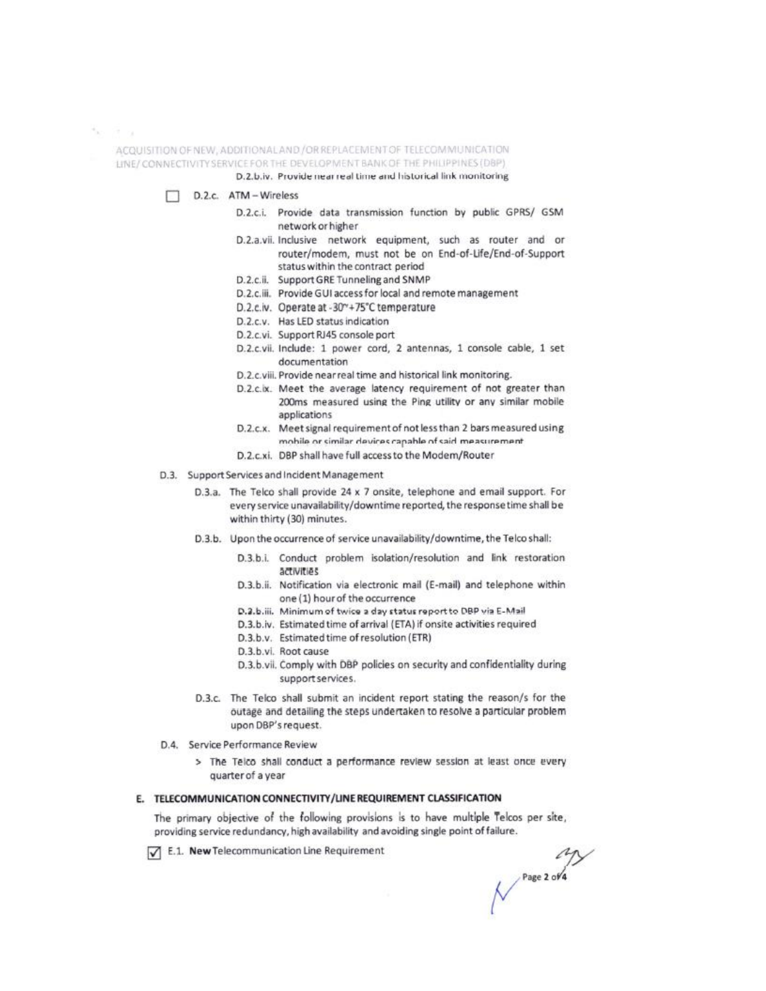$\tilde{\gamma}_K = \tilde{\gamma} \tilde{\gamma} - \gamma_L$ 

ACQUISITION OF NEW, ADDITIONAL AND / OR REPLACEMENT OF TELECOMMUNICATION LINE/CONNECTIVITY SERVICE FOR THE DEVELOPMENT BANK OF THE PHILIPPINES (DBP)

- D.2.b.iv. Provide near real time and historical link monitoring
- D.2.c. ATM Wireless п
	- D.2.c.i. Provide data transmission function by public GPRS/ GSM network or higher
	- D.2.a.vii. Inclusive network equipment, such as router and or router/modem, must not be on End-of-Life/End-of-Support status within the contract period
	- D.2.c.ii. Support GRE Tunneling and SNMP
	- D.2.c.iii. Provide GUI access for local and remote management
	- D.2.c.iv. Operate at -30"+75°C temperature
	- D.2.c.v. Has LED status indication
	- D.2.c.vi. Support RJ45 console port
	- D.2.c.vii. Include: 1 power cord, 2 antennas, 1 console cable, 1 set documentation
	- D.2.c.viii. Provide near real time and historical link monitoring.
	- D.2.c.ix. Meet the average latency requirement of not greater than 200ms measured using the Ping utility or any similar mobile applications
	- D.2.c.x. Meet signal requirement of not less than 2 bars measured using mobile or similar devices capable of said measurement
	- D.2.c.xi. DBP shall have full access to the Modem/Router
- D.3. Support Services and Incident Management
	- D.3.a. The Telco shall provide 24 x 7 onsite, telephone and email support. For every service unavailability/downtime reported, the response time shall be within thirty (30) minutes.
	- D.3.b. Upon the occurrence of service unavailability/downtime, the Telco shall:
		- D.3.b.i. Conduct problem isolation/resolution and link restoration activities
		- D.3.b.ii. Notification via electronic mail (E-mail) and telephone within one (1) hour of the occurrence
		- D.2.b.iii. Minimum of twice a day status report to DBP via E-Mail
		- D.3.b.iv. Estimated time of arrival (ETA) if onsite activities required
		- D.3.b.v. Estimated time of resolution (ETR)
		- D.3.b.vl. Root cause
		- D.3.b.vii. Comply with DBP policies on security and confidentiality during support services.
	- D.3.c. The Telco shall submit an incident report stating the reason/s for the outage and detailing the steps undertaken to resolve a particular problem upon DBP's request.
- D.4. Service Performance Review
	- > The Teico shall conduct a performance review session at least once every quarter of a year

## E. TELECOMMUNICATION CONNECTIVITY/LINE REQUIREMENT CLASSIFICATION

The primary objective of the following provisions is to have multiple Telcos per site, providing service redundancy, high availability and avoiding single point of failure.

E.1. New Telecommunication Line Requirement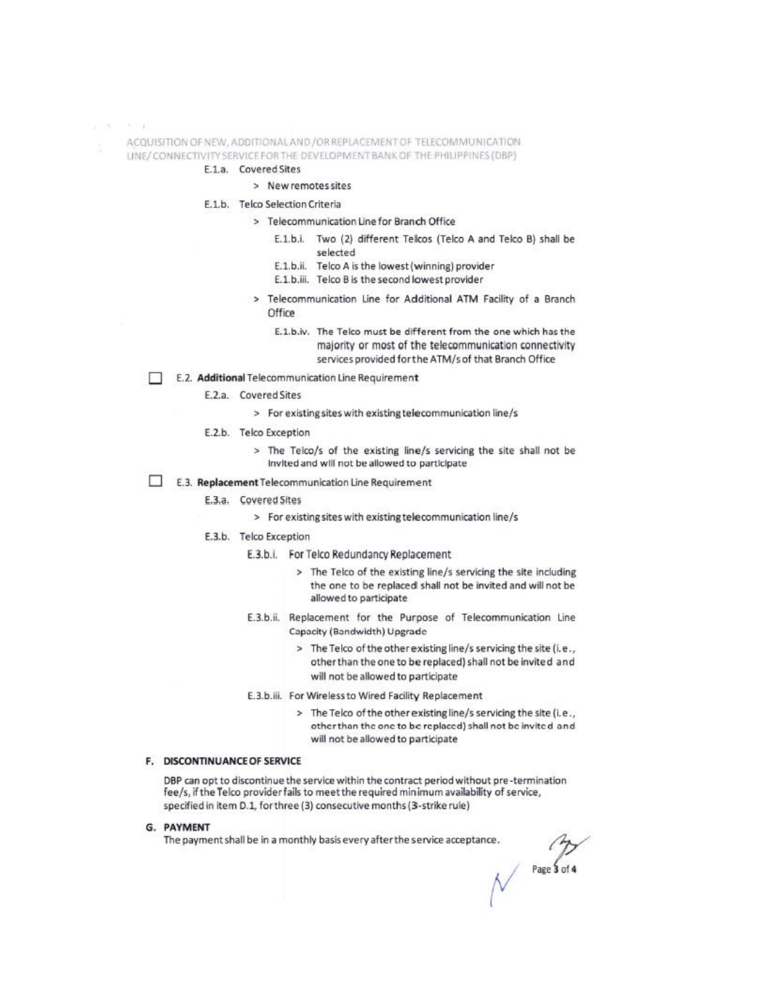$x - 35 = -77 - 10$ 

ACQUISITION OF NEW, ADDITIONAL AND /OR REPLACEMENT OF TELECOMMUNICATION

UNE/CONNECTIVITY SERVICE FOR THE DEVELOPMENT BANK OF THE PHILIPPINES (DBP)

- E.1.a. Covered Sites
	- > New remotes sites

E.1.b. Telco Selection Criteria

- > Telecommunication Line for Branch Office
	- E.1.b.i. Two (2) different Telcos (Telco A and Telco B) shall be selected
	- E.1.b.ii. Telco A is the lowest (winning) provider
	- E.1.b.iii. Telco B is the second lowest provider
	- > Telecommunication Line for Additional ATM Facility of a Branch Office
		- E.1.b.iv. The Telco must be different from the one which has the majority or most of the telecommunication connectivity services provided for the ATM/s of that Branch Office
- E.2. Additional Telecommunication Line Requirement
	- E.2.a. Covered Sites
		- > For existing sites with existing telecommunication line/s
	- E.2.b. Telco Exception
		- > The Telco/s of the existing line/s servicing the site shall not be Invited and will not be allowed to participate
- □ E.3. Replacement Telecommunication Line Requirement
	- E.3.a. Covered Sites
		- > For existing sites with existing telecommunication line/s
	- E.3.b. Telco Exception
		- E.3.b.i. For Telco Redundancy Replacement
			- > The Telco of the existing line/s servicing the site including the one to be replaced shall not be invited and will not be allowed to participate
		- E.3.b.ii. Replacement for the Purpose of Telecommunication Line Capacity (Bandwidth) Upgrade
			- > The Telco of the other existing line/s servicing the site (i.e., other than the one to be replaced) shall not be invited and will not be allowed to participate
		- E.3.b.iii. For Wireless to Wired Facility Replacement
			- > The Telco of the other existing line/s servicing the site (i.e., other than the one to be replaced) shall not be invited and will not be allowed to participate

#### **F. DISCONTINUANCE OF SERVICE**

DBP can opt to discontinue the service within the contract period without pre-termination fee/s, if the Telco provider fails to meet the required minimum availability of service, specified in item D.1, for three (3) consecutive months (3-strike rule)

G. PAYMENT

The payment shall be in a monthly basis every after the service acceptance.

Page  $\overline{\mathbf{3}}$  of  $\mathbf{4}$